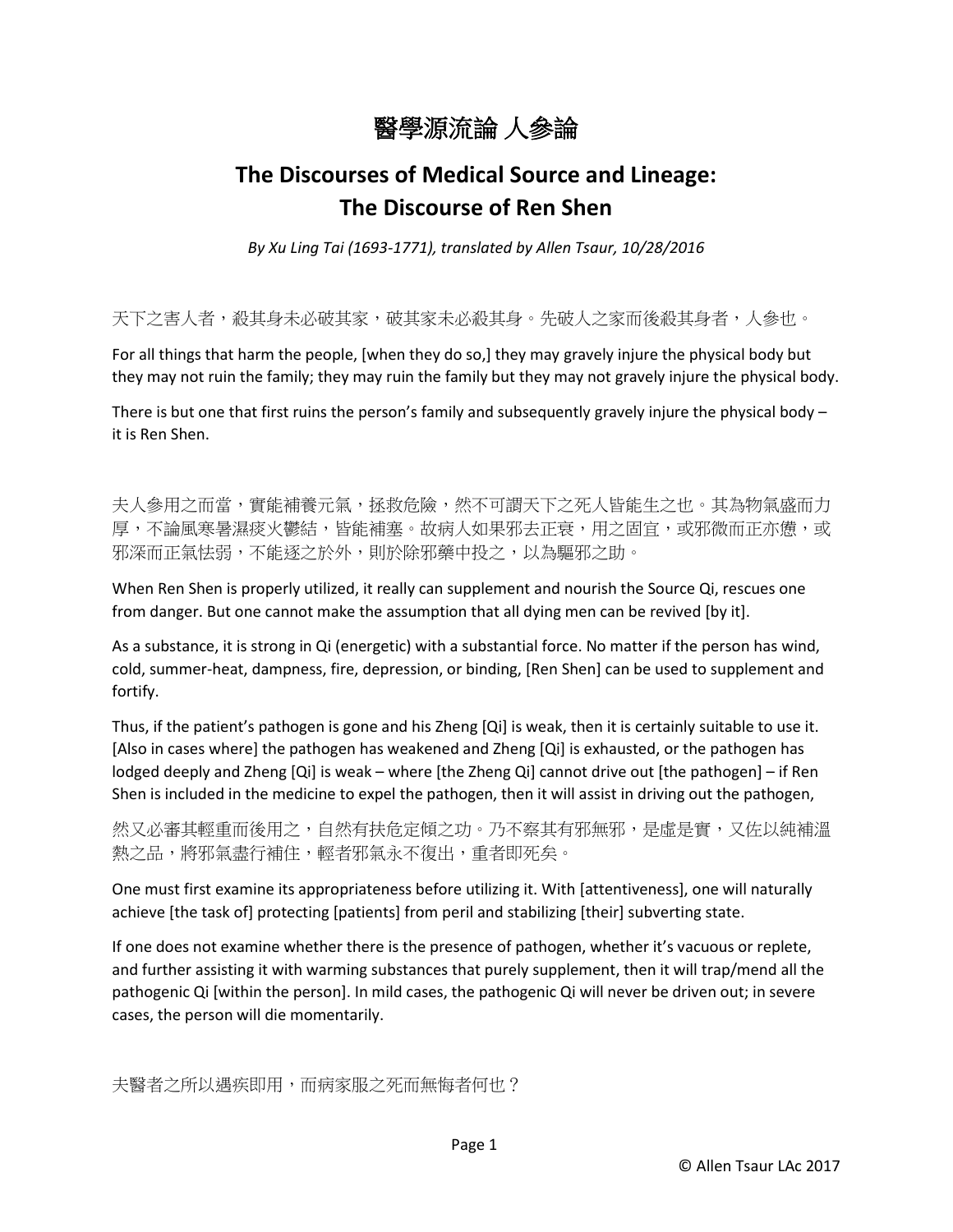

## **The Discourses of Medical Source and Lineage: The Discourse of Ren Shen**

*By Xu Ling Tai (1693-1771), translated by Allen Tsaur, 10/28/2016*

天下之害人者,殺其身未必破其家未必殺其身。先破人之家而後殺其身者,人參也。

For all things that harm the people, [when they do so,] they may gravely injure the physical body but they may not ruin the family; they may ruin the family but they may not gravely injure the physical body.

There is but one that first ruins the person's family and subsequently gravely injure the physical body  $$ it is Ren Shen.

夫人參用之而當,實能補養元氣,拯救危險,然不可謂天下之死人皆能生之也。其為物氣盛而力 厚,不論風寒暑濕痰火鬱結,皆能補塞。故病人如果邪去正衰,用之固宜,或邪微而正亦憊,或 邪深而正氣怯弱,不能逐之於外,則於除邪藥中投之,以為驅邪之助。

When Ren Shen is properly utilized, it really can supplement and nourish the Source Qi, rescues one from danger. But one cannot make the assumption that all dying men can be revived [by it].

As a substance, it is strong in Qi (energetic) with a substantial force. No matter if the person has wind, cold, summer-heat, dampness, fire, depression, or binding, [Ren Shen] can be used to supplement and fortify.

Thus, if the patient's pathogen is gone and his Zheng [Qi] is weak, then it is certainly suitable to use it. [Also in cases where] the pathogen has weakened and Zheng [Qi] is exhausted, or the pathogen has lodged deeply and Zheng [Qi] is weak – where [the Zheng Qi] cannot drive out [the pathogen] – if Ren Shen is included in the medicine to expel the pathogen, then it will assist in driving out the pathogen,

然又必審其輕重而後用之,自然有扶危定傾之功。乃不察其有邪無邪,是虛是實,又佐以純補溫 熱之品,將邪氣盡行補住,輕者邪氣永不復出,重者即死矣。

One must first examine its appropriateness before utilizing it. With [attentiveness], one will naturally achieve [the task of] protecting [patients] from peril and stabilizing [their] subverting state.

If one does not examine whether there is the presence of pathogen, whether it's vacuous or replete, and further assisting it with warming substances that purely supplement, then it will trap/mend all the pathogenic Qi [within the person]. In mild cases, the pathogenic Qi will never be driven out; in severe cases, the person will die momentarily.

夫醫者之所以遇疾即用,而病家服之死而無悔者何也?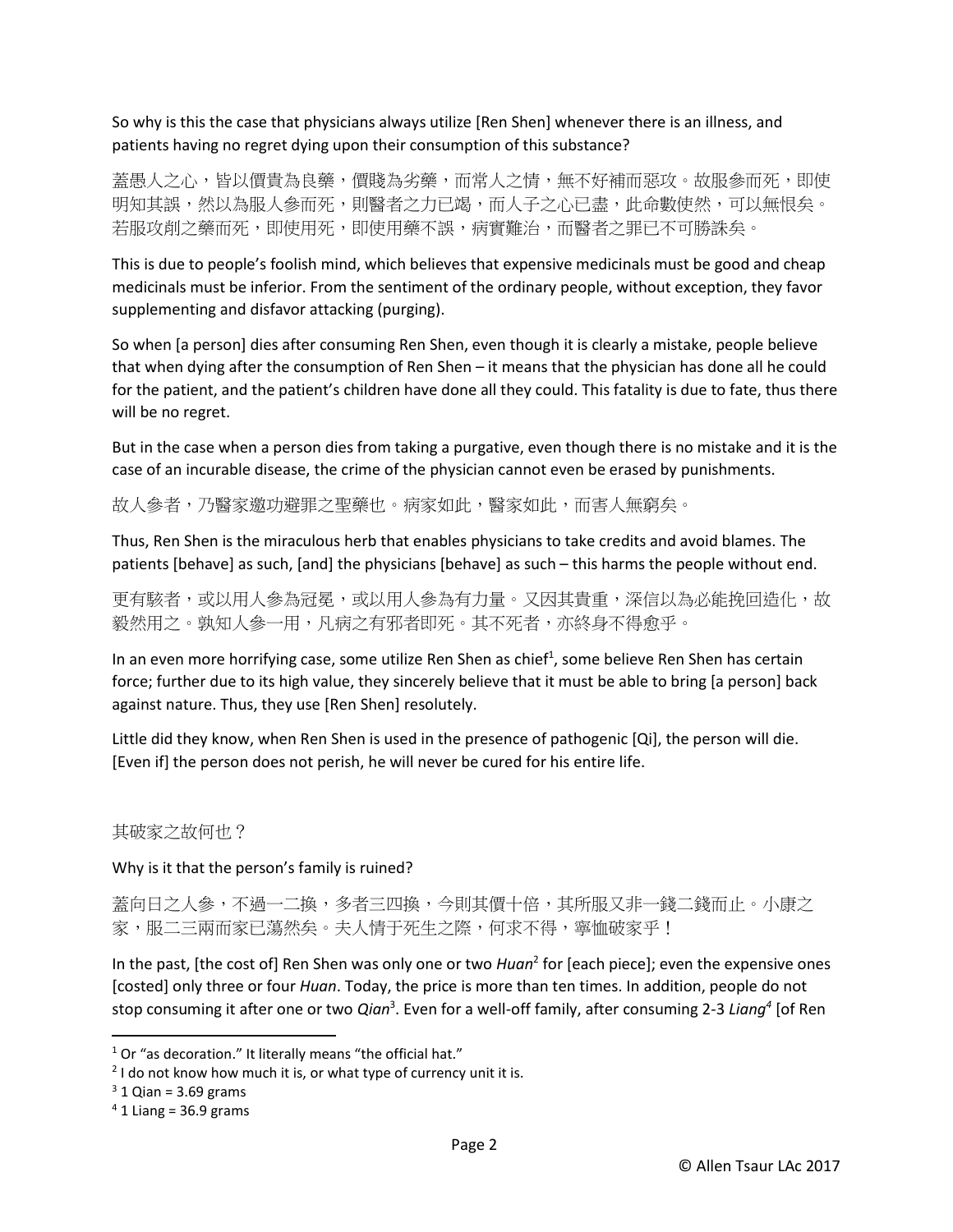So why is this the case that physicians always utilize [Ren Shen] whenever there is an illness, and patients having no regret dying upon their consumption of this substance?

蓋愚人之心,皆以價貴為良藥,價賤為劣藥,而常人之情,無不好補而惡攻。故服參而死,即使 明知其誤,然以為服人參而死,則醫者之力已竭,而人子之心已盡,此命數使然,可以無恨矣。 若服攻削之藥而死,即使用死,即使用藥不誤,病實難治,而醫者之罪已不可勝誅矣。

This is due to people's foolish mind, which believes that expensive medicinals must be good and cheap medicinals must be inferior. From the sentiment of the ordinary people, without exception, they favor supplementing and disfavor attacking (purging).

So when [a person] dies after consuming Ren Shen, even though it is clearly a mistake, people believe that when dying after the consumption of Ren Shen – it means that the physician has done all he could for the patient, and the patient's children have done all they could. This fatality is due to fate, thus there will be no regret.

But in the case when a person dies from taking a purgative, even though there is no mistake and it is the case of an incurable disease, the crime of the physician cannot even be erased by punishments.

故人參者,乃醫家邀功避罪之聖藥也。病家如此,醫家如此,而害人無窮矣。

Thus, Ren Shen is the miraculous herb that enables physicians to take credits and avoid blames. The patients [behave] as such, [and] the physicians [behave] as such – this harms the people without end.

更有駭者,或以用人參為西方人參為有力量。又因其貴重,深信以為必能挽回造化,故 毅然用之。孰知人參一用,凡病之有邪者即死。其不死者,亦終身不得愈乎。

In an even more horrifying case, some utilize Ren Shen as chief<sup>1</sup>, some believe Ren Shen has certain force; further due to its high value, they sincerely believe that it must be able to bring [a person] back against nature. Thus, they use [Ren Shen] resolutely.

Little did they know, when Ren Shen is used in the presence of pathogenic [Qi], the person will die. [Even if] the person does not perish, he will never be cured for his entire life.

## 其破家之故何也?

Why is it that the person's family is ruined?

蓋向日之人參,不過一二換,多者三四換,今則其價十倍,其所服又非一錢二錢而止。小康之 家,服二三兩而家已蕩然矣。夫人情于死生之際,何求不得,寧恤破家乎!

In the past, [the cost of] Ren Shen was only one or two *Huan*<sup>2</sup> for [each piece]; even the expensive ones [costed] only three or four *Huan*. Today, the price is more than ten times. In addition, people do not stop consuming it after one or two *Qian*<sup>3</sup>. Even for a well-off family, after consuming 2-3 *Liang*<sup>4</sup> [of Ren

 $\overline{a}$ 

 $1$  Or "as decoration." It literally means "the official hat."

 $2$  I do not know how much it is, or what type of currency unit it is.

 $3$  1 Qian = 3.69 grams

 $4$  1 Liang = 36.9 grams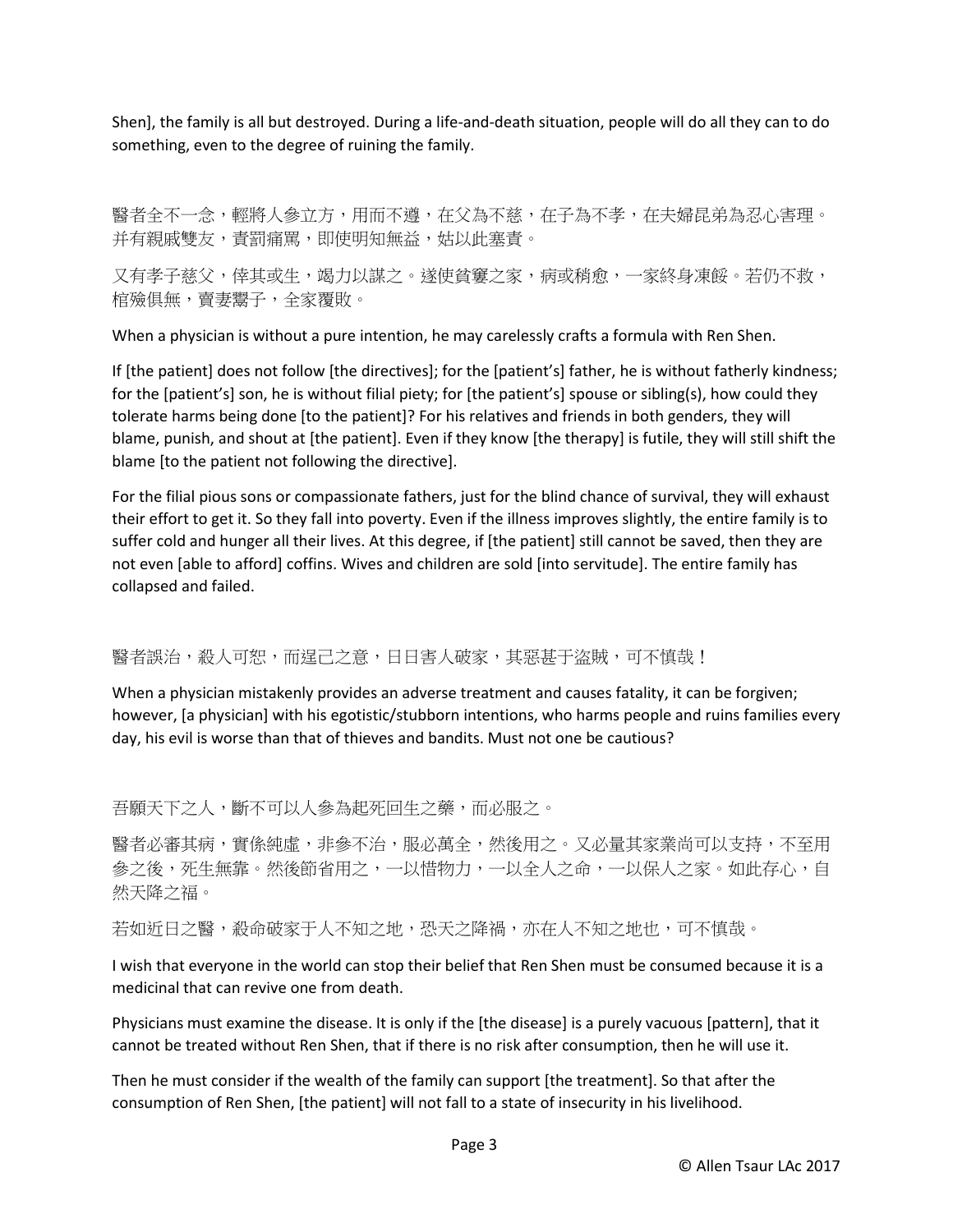Shen], the family is all but destroyed. During a life-and-death situation, people will do all they can to do something, even to the degree of ruining the family.

醫者全不一念,輕將人參立方,用而不遵,在父為不慈,在子為不孝,在夫婦昆弟為忍心害理。 并有親戚雙友,責罰痛罵,即使明知無益,姑以此塞責。

又有孝子慈父,倖其或生,竭力以謀之。遂使貧窶之家,病或稍愈,一家終身凍餒。若仍不救, 棺殮俱無,賣妻鬻子,全家覆敗。

When a physician is without a pure intention, he may carelessly crafts a formula with Ren Shen.

If [the patient] does not follow [the directives]; for the [patient's] father, he is without fatherly kindness; for the [patient's] son, he is without filial piety; for [the patient's] spouse or sibling(s), how could they tolerate harms being done [to the patient]? For his relatives and friends in both genders, they will blame, punish, and shout at [the patient]. Even if they know [the therapy] is futile, they will still shift the blame [to the patient not following the directive].

For the filial pious sons or compassionate fathers, just for the blind chance of survival, they will exhaust their effort to get it. So they fall into poverty. Even if the illness improves slightly, the entire family is to suffer cold and hunger all their lives. At this degree, if [the patient] still cannot be saved, then they are not even [able to afford] coffins. Wives and children are sold [into servitude]. The entire family has collapsed and failed.

## 醫者誤治,殺人可恕,而逞己之意,日日害人破家,其惡甚干盜賊,可不慎哉!

When a physician mistakenly provides an adverse treatment and causes fatality, it can be forgiven; however, [a physician] with his egotistic/stubborn intentions, who harms people and ruins families every day, his evil is worse than that of thieves and bandits. Must not one be cautious?

吾願天下之人,斷不可以人參為起死回生之藥,而必服之。

醫者必審其病,實係純虛,非參不治,服必萬全,然後用之。又必量其家業尚可以支持,不至用 参之後,死生無靠。然後節省用之,一以惜物力,一以全人之命,一以保人之家。如此存心,自 然天降之福。

若如近日之醫,殺命破家于人不知之地,恐天之降禍,亦在人不知之地也,可不慎哉。

I wish that everyone in the world can stop their belief that Ren Shen must be consumed because it is a medicinal that can revive one from death.

Physicians must examine the disease. It is only if the [the disease] is a purely vacuous [pattern], that it cannot be treated without Ren Shen, that if there is no risk after consumption, then he will use it.

Then he must consider if the wealth of the family can support [the treatment]. So that after the consumption of Ren Shen, [the patient] will not fall to a state of insecurity in his livelihood.